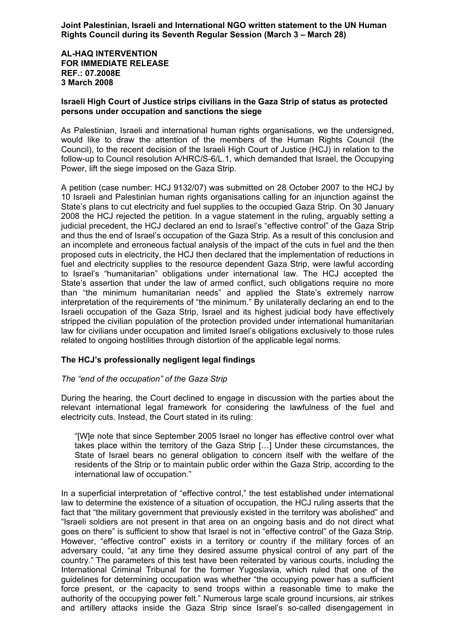**Joint Palestinian, Israeli and International NGO written statement to the UN Human Rights Council during its Seventh Regular Session (March 3 – March 28)** 

**AL-HAQ INTERVENTION FOR IMMEDIATE RELEASE REF.: 07.2008E 3 March 2008**

### **Israeli High Court of Justice strips civilians in the Gaza Strip of status as protected persons under occupation and sanctions the siege**

As Palestinian, Israeli and international human rights organisations, we the undersigned, would like to draw the attention of the members of the Human Rights Council (the Council), to the recent decision of the Israeli High Court of Justice (HCJ) in relation to the follow-up to Council resolution A/HRC/S-6/L.1, which demanded that Israel, the Occupying Power, lift the siege imposed on the Gaza Strip.

A petition (case number: HCJ 9132/07) was submitted on 28 October 2007 to the HCJ by 10 Israeli and Palestinian human rights organisations calling for an injunction against the State's plans to cut electricity and fuel supplies to the occupied Gaza Strip. On 30 January 2008 the HCJ rejected the petition. In a vague statement in the ruling, arguably setting a judicial precedent, the HCJ declared an end to Israel's "effective control" of the Gaza Strip and thus the end of Israel's occupation of the Gaza Strip. As a result of this conclusion and an incomplete and erroneous factual analysis of the impact of the cuts in fuel and the then proposed cuts in electricity, the HCJ then declared that the implementation of reductions in fuel and electricity supplies to the resource dependent Gaza Strip, were lawful according to Israel's "humanitarian" obligations under international law. The HCJ accepted the State's assertion that under the law of armed conflict, such obligations require no more than "the minimum humanitarian needs" and applied the State's extremely narrow interpretation of the requirements of "the minimum." By unilaterally declaring an end to the Israeli occupation of the Gaza Strip, Israel and its highest judicial body have effectively stripped the civilian population of the protection provided under international humanitarian law for civilians under occupation and limited Israel's obligations exclusively to those rules related to ongoing hostilities through distortion of the applicable legal norms.

# **The HCJ's professionally negligent legal findings**

# *The "end of the occupation" of the Gaza Strip*

During the hearing, the Court declined to engage in discussion with the parties about the relevant international legal framework for considering the lawfulness of the fuel and electricity cuts. Instead, the Court stated in its ruling:

"[W]e note that since September 2005 Israel no longer has effective control over what takes place within the territory of the Gaza Strip […] Under these circumstances, the State of Israel bears no general obligation to concern itself with the welfare of the residents of the Strip or to maintain public order within the Gaza Strip, according to the international law of occupation."

In a superficial interpretation of "effective control," the test established under international law to determine the existence of a situation of occupation, the HCJ ruling asserts that the fact that "the military government that previously existed in the territory was abolished" and "Israeli soldiers are not present in that area on an ongoing basis and do not direct what goes on there" is sufficient to show that Israel is not in "effective control" of the Gaza Strip. However, "effective control" exists in a territory or country if the military forces of an adversary could, "at any time they desired assume physical control of any part of the country." The parameters of this test have been reiterated by various courts, including the International Criminal Tribunal for the former Yugoslavia, which ruled that one of the guidelines for determining occupation was whether "the occupying power has a sufficient force present, or the capacity to send troops within a reasonable time to make the authority of the occupying power felt." Numerous large scale ground incursions, air strikes and artillery attacks inside the Gaza Strip since Israel's so-called disengagement in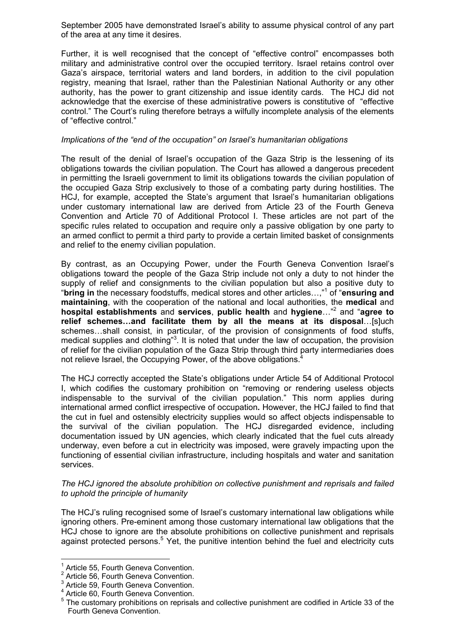September 2005 have demonstrated Israel's ability to assume physical control of any part of the area at any time it desires.

Further, it is well recognised that the concept of "effective control" encompasses both military and administrative control over the occupied territory. Israel retains control over Gaza's airspace, territorial waters and land borders, in addition to the civil population registry, meaning that Israel, rather than the Palestinian National Authority or any other authority, has the power to grant citizenship and issue identity cards. The HCJ did not acknowledge that the exercise of these administrative powers is constitutive of "effective control." The Court's ruling therefore betrays a wilfully incomplete analysis of the elements of "effective control."

#### *Implications of the "end of the occupation" on Israel's humanitarian obligations*

The result of the denial of Israel's occupation of the Gaza Strip is the lessening of its obligations towards the civilian population. The Court has allowed a dangerous precedent in permitting the Israeli government to limit its obligations towards the civilian population of the occupied Gaza Strip exclusively to those of a combating party during hostilities. The HCJ, for example, accepted the State's argument that Israel's humanitarian obligations under customary international law are derived from Article 23 of the Fourth Geneva Convention and Article 70 of Additional Protocol I. These articles are not part of the specific rules related to occupation and require only a passive obligation by one party to an armed conflict to permit a third party to provide a certain limited basket of consignments and relief to the enemy civilian population.

By contrast, as an Occupying Power, under the Fourth Geneva Convention Israel's obligations toward the people of the Gaza Strip include not only a duty to not hinder the supply of relief and consignments to the civilian population but also a positive duty to "**bring in** the necessary foodstuffs, medical stores and other articles…,"<sup>1</sup> of "**ensuring and maintaining**, with the cooperation of the national and local authorities, the **medical** and **hospital establishments** and **services**, **public health** and **hygiene**…"<sup>2</sup> and "**agree to relief schemes…and facilitate them by all the means at its disposal**…[s]uch schemes…shall consist, in particular, of the provision of consignments of food stuffs, medical supplies and clothing"<sup>3</sup>. It is noted that under the law of occupation, the provision of relief for the civilian population of the Gaza Strip through third party intermediaries does not relieve Israel, the Occupying Power, of the above obligations.<sup>4</sup>

The HCJ correctly accepted the State's obligations under Article 54 of Additional Protocol I, which codifies the customary prohibition on "removing or rendering useless objects indispensable to the survival of the civilian population." This norm applies during international armed conflict irrespective of occupation**.** However, the HCJ failed to find that the cut in fuel and ostensibly electricity supplies would so affect objects indispensable to the survival of the civilian population. The HCJ disregarded evidence, including documentation issued by UN agencies, which clearly indicated that the fuel cuts already underway, even before a cut in electricity was imposed, were gravely impacting upon the functioning of essential civilian infrastructure, including hospitals and water and sanitation services.

*The HCJ ignored the absolute prohibition on collective punishment and reprisals and failed to uphold the principle of humanity* 

The HCJ's ruling recognised some of Israel's customary international law obligations while ignoring others. Pre-eminent among those customary international law obligations that the HCJ chose to ignore are the absolute prohibitions on collective punishment and reprisals against protected persons.<sup>5</sup> Yet, the punitive intention behind the fuel and electricity cuts

 $\overline{a}$ 

<sup>&</sup>lt;sup>1</sup> Article 55, Fourth Geneva Convention.

<sup>&</sup>lt;sup>2</sup> Article 56, Fourth Geneva Convention.

<sup>&</sup>lt;sup>3</sup> Article 59, Fourth Geneva Convention.

<sup>4</sup> Article 60, Fourth Geneva Convention.

<sup>&</sup>lt;sup>5</sup> The customary prohibitions on reprisals and collective punishment are codified in Article 33 of the Fourth Geneva Convention.